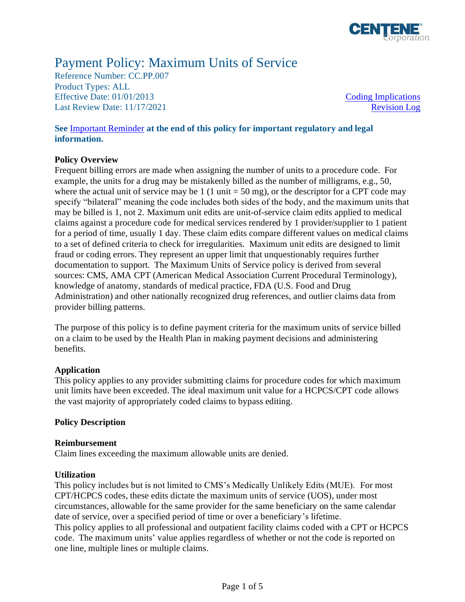

# Payment Policy: Maximum Units of Service

Reference Number: CC.PP.007 Product Types: ALL Effective Date:  $01/01/2013$  Coding Implications Last Review Date: 11/17/2021 [Revision Log](#page-3-0)

# **See** [Important Reminder](#page-3-1) **at the end of this policy for important regulatory and legal information.**

## **Policy Overview**

Frequent billing errors are made when assigning the number of units to a procedure code. For example, the units for a drug may be mistakenly billed as the number of milligrams, e.g., 50, where the actual unit of service may be 1 (1 unit  $= 50$  mg), or the descriptor for a CPT code may specify "bilateral" meaning the code includes both sides of the body, and the maximum units that may be billed is 1, not 2. Maximum unit edits are unit-of-service claim edits applied to medical claims against a procedure code for medical services rendered by 1 provider/supplier to 1 patient for a period of time, usually 1 day. These claim edits compare different values on medical claims to a set of defined criteria to check for irregularities. Maximum unit edits are designed to limit fraud or coding errors. They represent an upper limit that unquestionably requires further documentation to support. The Maximum Units of Service policy is derived from several sources: CMS, AMA CPT (American Medical Association Current Procedural Terminology), knowledge of anatomy, standards of medical practice, FDA (U.S. Food and Drug Administration) and other nationally recognized drug references, and outlier claims data from provider billing patterns.

The purpose of this policy is to define payment criteria for the maximum units of service billed on a claim to be used by the Health Plan in making payment decisions and administering benefits.

### **Application**

This policy applies to any provider submitting claims for procedure codes for which maximum unit limits have been exceeded. The ideal maximum unit value for a HCPCS/CPT code allows the vast majority of appropriately coded claims to bypass editing.

### **Policy Description**

### **Reimbursement**

Claim lines exceeding the maximum allowable units are denied.

### **Utilization**

This policy includes but is not limited to CMS's Medically Unlikely Edits (MUE). For most CPT/HCPCS codes, these edits dictate the maximum units of service (UOS), under most circumstances, allowable for the same provider for the same beneficiary on the same calendar date of service, over a specified period of time or over a beneficiary's lifetime. This policy applies to all professional and outpatient facility claims coded with a CPT or HCPCS code. The maximum units' value applies regardless of whether or not the code is reported on one line, multiple lines or multiple claims.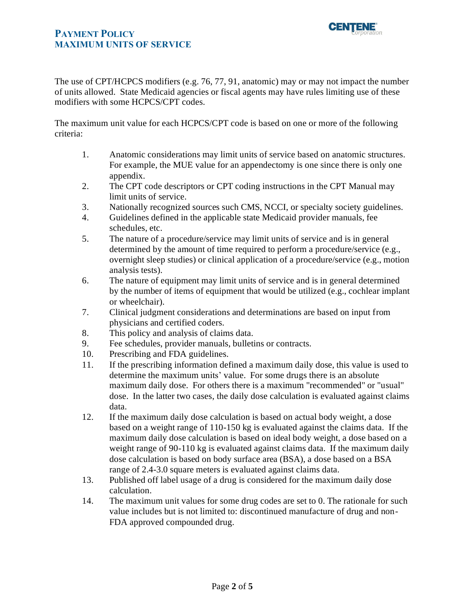# **PAYMENT POLICY MAXIMUM UNITS OF SERVICE**



The use of CPT/HCPCS modifiers (e.g. 76, 77, 91, anatomic) may or may not impact the number of units allowed. State Medicaid agencies or fiscal agents may have rules limiting use of these modifiers with some HCPCS/CPT codes.

The maximum unit value for each HCPCS/CPT code is based on one or more of the following criteria:

- 1. Anatomic considerations may limit units of service based on anatomic structures. For example, the MUE value for an appendectomy is one since there is only one appendix.
- 2. The CPT code descriptors or CPT coding instructions in the CPT Manual may limit units of service.
- 3. Nationally recognized sources such CMS, NCCI, or specialty society guidelines.
- 4. Guidelines defined in the applicable state Medicaid provider manuals, fee schedules, etc.
- 5. The nature of a procedure/service may limit units of service and is in general determined by the amount of time required to perform a procedure/service (e.g., overnight sleep studies) or clinical application of a procedure/service (e.g., motion analysis tests).
- 6. The nature of equipment may limit units of service and is in general determined by the number of items of equipment that would be utilized (e.g., cochlear implant or wheelchair).
- 7. Clinical judgment considerations and determinations are based on input from physicians and certified coders.
- 8. This policy and analysis of claims data.
- 9. Fee schedules, provider manuals, bulletins or contracts.
- 10. Prescribing and FDA guidelines.
- 11. If the prescribing information defined a maximum daily dose, this value is used to determine the maximum units' value. For some drugs there is an absolute maximum daily dose. For others there is a maximum "recommended" or "usual" dose. In the latter two cases, the daily dose calculation is evaluated against claims data.
- 12. If the maximum daily dose calculation is based on actual body weight, a dose based on a weight range of 110-150 kg is evaluated against the claims data. If the maximum daily dose calculation is based on ideal body weight, a dose based on a weight range of 90-110 kg is evaluated against claims data. If the maximum daily dose calculation is based on body surface area (BSA), a dose based on a BSA range of 2.4-3.0 square meters is evaluated against claims data.
- 13. Published off label usage of a drug is considered for the maximum daily dose calculation.
- 14. The maximum unit values for some drug codes are set to 0. The rationale for such value includes but is not limited to: discontinued manufacture of drug and non-FDA approved compounded drug.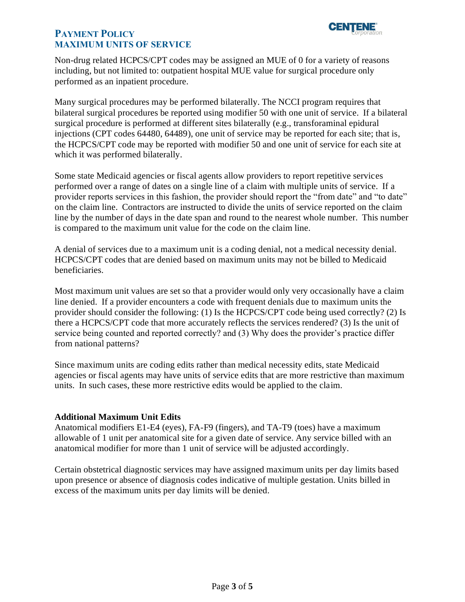

# **PAYMENT POLICY MAXIMUM UNITS OF SERVICE**

Non-drug related HCPCS/CPT codes may be assigned an MUE of 0 for a variety of reasons including, but not limited to: outpatient hospital MUE value for surgical procedure only performed as an inpatient procedure.

Many surgical procedures may be performed bilaterally. The NCCI program requires that bilateral surgical procedures be reported using modifier 50 with one unit of service. If a bilateral surgical procedure is performed at different sites bilaterally (e.g., transforaminal epidural injections (CPT codes 64480, 64489), one unit of service may be reported for each site; that is, the HCPCS/CPT code may be reported with modifier 50 and one unit of service for each site at which it was performed bilaterally.

Some state Medicaid agencies or fiscal agents allow providers to report repetitive services performed over a range of dates on a single line of a claim with multiple units of service. If a provider reports services in this fashion, the provider should report the "from date" and "to date" on the claim line. Contractors are instructed to divide the units of service reported on the claim line by the number of days in the date span and round to the nearest whole number. This number is compared to the maximum unit value for the code on the claim line.

A denial of services due to a maximum unit is a coding denial, not a medical necessity denial. HCPCS/CPT codes that are denied based on maximum units may not be billed to Medicaid beneficiaries.

Most maximum unit values are set so that a provider would only very occasionally have a claim line denied. If a provider encounters a code with frequent denials due to maximum units the provider should consider the following: (1) Is the HCPCS/CPT code being used correctly? (2) Is there a HCPCS/CPT code that more accurately reflects the services rendered? (3) Is the unit of service being counted and reported correctly? and (3) Why does the provider's practice differ from national patterns?

Since maximum units are coding edits rather than medical necessity edits, state Medicaid agencies or fiscal agents may have units of service edits that are more restrictive than maximum units. In such cases, these more restrictive edits would be applied to the claim.

### **Additional Maximum Unit Edits**

Anatomical modifiers E1-E4 (eyes), FA-F9 (fingers), and TA-T9 (toes) have a maximum allowable of 1 unit per anatomical site for a given date of service. Any service billed with an anatomical modifier for more than 1 unit of service will be adjusted accordingly.

Certain obstetrical diagnostic services may have assigned maximum units per day limits based upon presence or absence of diagnosis codes indicative of multiple gestation. Units billed in excess of the maximum units per day limits will be denied.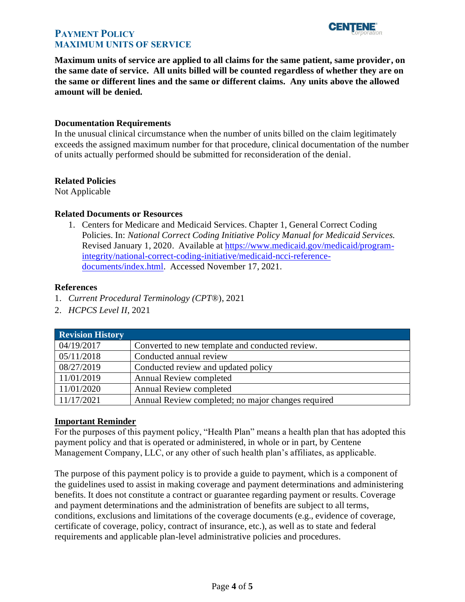

# **PAYMENT POLICY MAXIMUM UNITS OF SERVICE**

**Maximum units of service are applied to all claims for the same patient, same provider, on the same date of service. All units billed will be counted regardless of whether they are on the same or different lines and the same or different claims. Any units above the allowed amount will be denied.** 

### **Documentation Requirements**

In the unusual clinical circumstance when the number of units billed on the claim legitimately exceeds the assigned maximum number for that procedure, clinical documentation of the number of units actually performed should be submitted for reconsideration of the denial.

## **Related Policies**

Not Applicable

## **Related Documents or Resources**

1. Centers for Medicare and Medicaid Services. Chapter 1, General Correct Coding Policies. In: *National Correct Coding Initiative Policy Manual for Medicaid Services.* Revised January 1, 2020. Available at [https://www.medicaid.gov/medicaid/program](https://www.medicaid.gov/medicaid/program-integrity/national-correct-coding-initiative/medicaid-ncci-reference-documents/index.html)[integrity/national-correct-coding-initiative/medicaid-ncci-reference](https://www.medicaid.gov/medicaid/program-integrity/national-correct-coding-initiative/medicaid-ncci-reference-documents/index.html)[documents/index.html.](https://www.medicaid.gov/medicaid/program-integrity/national-correct-coding-initiative/medicaid-ncci-reference-documents/index.html) Accessed November 17, 2021.

## **References**

- 1. *Current Procedural Terminology (CPT*®), 2021
- 2. *HCPCS Level II*, 2021

<span id="page-3-0"></span>

| <b>Revision History</b> |                                                    |
|-------------------------|----------------------------------------------------|
| 04/19/2017              | Converted to new template and conducted review.    |
| 05/11/2018              | Conducted annual review                            |
| 08/27/2019              | Conducted review and updated policy                |
| 11/01/2019              | Annual Review completed                            |
| 11/01/2020              | <b>Annual Review completed</b>                     |
| 11/17/2021              | Annual Review completed; no major changes required |

### <span id="page-3-1"></span>**Important Reminder**

For the purposes of this payment policy, "Health Plan" means a health plan that has adopted this payment policy and that is operated or administered, in whole or in part, by Centene Management Company, LLC, or any other of such health plan's affiliates, as applicable.

The purpose of this payment policy is to provide a guide to payment, which is a component of the guidelines used to assist in making coverage and payment determinations and administering benefits. It does not constitute a contract or guarantee regarding payment or results. Coverage and payment determinations and the administration of benefits are subject to all terms, conditions, exclusions and limitations of the coverage documents (e.g., evidence of coverage, certificate of coverage, policy, contract of insurance, etc.), as well as to state and federal requirements and applicable plan-level administrative policies and procedures.